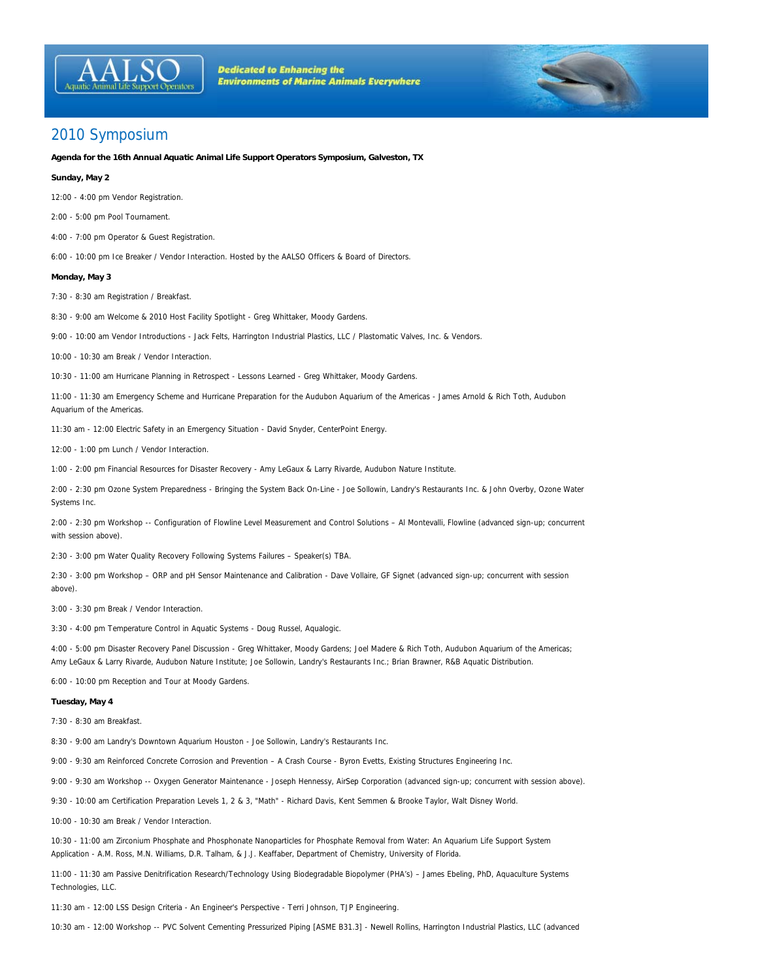



**Agenda for the 16th Annual Aquatic Animal Life Support Operators Symposium, Galveston, TX**

## **Sunday, May 2**

12:00 - 4:00 pm Vendor Registration.

2:00 - 5:00 pm Pool Tournament.

4:00 - 7:00 pm Operator & Guest Registration.

6:00 - 10:00 pm Ice Breaker / Vendor Interaction. Hosted by the AALSO Officers & Board of Directors.

## **Monday, May 3**

7:30 - 8:30 am Registration / Breakfast.

8:30 - 9:00 am Welcome & 2010 Host Facility Spotlight - Greg Whittaker, Moody Gardens.

9:00 - 10:00 am Vendor Introductions - Jack Felts, Harrington Industrial Plastics, LLC / Plastomatic Valves, Inc. & Vendors.

10:00 - 10:30 am Break / Vendor Interaction.

10:30 - 11:00 am Hurricane Planning in Retrospect - Lessons Learned - Greg Whittaker, Moody Gardens.

11:00 - 11:30 am Emergency Scheme and Hurricane Preparation for the Audubon Aquarium of the Americas - James Arnold & Rich Toth, Audubon Aquarium of the Americas.

11:30 am - 12:00 Electric Safety in an Emergency Situation - David Snyder, CenterPoint Energy.

12:00 - 1:00 pm Lunch / Vendor Interaction.

1:00 - 2:00 pm Financial Resources for Disaster Recovery - Amy LeGaux & Larry Rivarde, Audubon Nature Institute.

2:00 - 2:30 pm Ozone System Preparedness - Bringing the System Back On-Line - Joe Sollowin, Landry's Restaurants Inc. & John Overby, Ozone Water Systems Inc.

2:00 - 2:30 pm Workshop -- Configuration of Flowline Level Measurement and Control Solutions – Al Montevalli, Flowline (advanced sign-up; concurrent with session above).

2:30 - 3:00 pm Water Quality Recovery Following Systems Failures – Speaker(s) TBA.

2:30 - 3:00 pm Workshop – ORP and pH Sensor Maintenance and Calibration - Dave Vollaire, GF Signet (advanced sign-up; concurrent with session above).

3:00 - 3:30 pm Break / Vendor Interaction.

3:30 - 4:00 pm Temperature Control in Aquatic Systems - Doug Russel, Aqualogic.

4:00 - 5:00 pm Disaster Recovery Panel Discussion - Greg Whittaker, Moody Gardens; Joel Madere & Rich Toth, Audubon Aquarium of the Americas; Amy LeGaux & Larry Rivarde, Audubon Nature Institute; Joe Sollowin, Landry's Restaurants Inc.; Brian Brawner, R&B Aquatic Distribution.

6:00 - 10:00 pm Reception and Tour at Moody Gardens.

## **Tuesday, May 4**

7:30 - 8:30 am Breakfast.

8:30 - 9:00 am Landry's Downtown Aquarium Houston - Joe Sollowin, Landry's Restaurants Inc.

9:00 - 9:30 am Reinforced Concrete Corrosion and Prevention – A Crash Course - Byron Evetts, Existing Structures Engineering Inc.

9:00 - 9:30 am Workshop -- Oxygen Generator Maintenance - Joseph Hennessy, AirSep Corporation (advanced sign-up; concurrent with session above).

9:30 - 10:00 am Certification Preparation Levels 1, 2 & 3, "Math" - Richard Davis, Kent Semmen & Brooke Taylor, Walt Disney World.

10:00 - 10:30 am Break / Vendor Interaction.

10:30 - 11:00 am Zirconium Phosphate and Phosphonate Nanoparticles for Phosphate Removal from Water: An Aquarium Life Support System Application - A.M. Ross, M.N. Williams, D.R. Talham, & J.J. Keaffaber, Department of Chemistry, University of Florida.

11:00 - 11:30 am Passive Denitrification Research/Technology Using Biodegradable Biopolymer (PHA's) – James Ebeling, PhD, Aquaculture Systems Technologies, LLC.

11:30 am - 12:00 LSS Design Criteria - An Engineer's Perspective - Terri Johnson, TJP Engineering.

10:30 am - 12:00 Workshop -- PVC Solvent Cementing Pressurized Piping [ASME B31.3] - Newell Rollins, Harrington Industrial Plastics, LLC (advanced